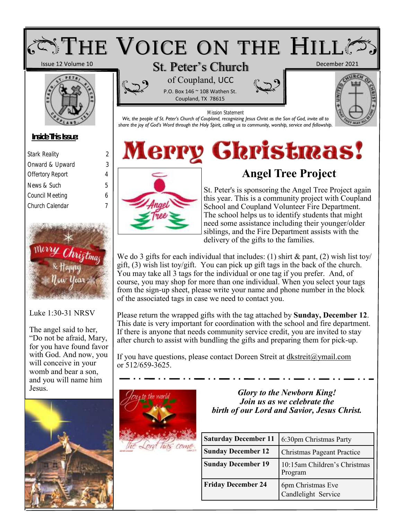

| Utan Ninuality          | ∠ |
|-------------------------|---|
| Onward & Upward         | 3 |
| <b>Offertory Report</b> | 4 |
| News & Such             | 5 |
| Council Meeting         | 6 |
| Church Calendar         |   |
|                         |   |



# Luke 1:30-31 NRSV

The angel said to her, "Do not be afraid, Mary, for you have found favor with God. And now, you will conceive in your womb and bear a son, and you will name him





# **Angel Tree Project**

St. Peter's is sponsoring the Angel Tree Project again this year. This is a community project with Coupland School and Coupland Volunteer Fire Department. The school helps us to identify students that might need some assistance including their younger/older siblings, and the Fire Department assists with the delivery of the gifts to the families.

We do 3 gifts for each individual that includes: (1) shirt  $\&$  pant, (2) wish list toy/ gift, (3) wish list toy/gift. You can pick up gift tags in the back of the church. You may take all 3 tags for the individual or one tag if you prefer. And, of course, you may shop for more than one individual. When you select your tags from the sign-up sheet, please write your name and phone number in the block of the associated tags in case we need to contact you.

Please return the wrapped gifts with the tag attached by **Sunday, December 12**. This date is very important for coordination with the school and fire department. If there is anyone that needs community service credit, you are invited to stay after church to assist with bundling the gifts and preparing them for pick-up.

If you have questions, please contact Doreen Streit at dkstreit@ymail.com or 512/659-3625.



Jesus. *Glory to the Newborn King! Join us as we celebrate the birth of our Lord and Savior, Jesus Christ.*

| <b>Saturday December 11</b> | 6:30pm Christmas Party                   |  |  |  |
|-----------------------------|------------------------------------------|--|--|--|
| <b>Sunday December 12</b>   | Christmas Pageant Practice               |  |  |  |
| <b>Sunday December 19</b>   | 10:15am Children's Christmas<br>Program  |  |  |  |
| <b>Friday December 24</b>   | 6pm Christmas Eve<br>Candlelight Service |  |  |  |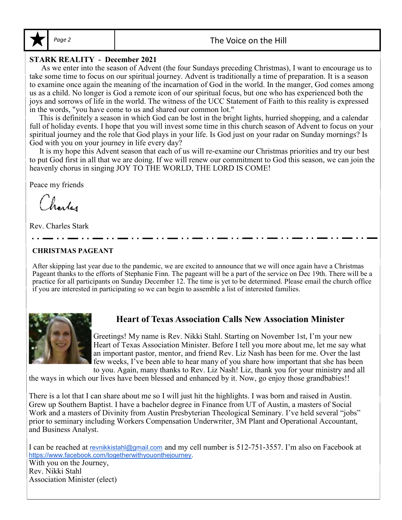

# **STARK REALITY - December 2021**

 As we enter into the season of Advent (the four Sundays preceding Christmas), I want to encourage us to take some time to focus on our spiritual journey. Advent is traditionally a time of preparation. It is a season to examine once again the meaning of the incarnation of God in the world. In the manger, God comes among us as a child. No longer is God a remote icon of our spiritual focus, but one who has experienced both the joys and sorrows of life in the world. The witness of the UCC Statement of Faith to this reality is expressed in the words, "you have come to us and shared our common lot."

 This is definitely a season in which God can be lost in the bright lights, hurried shopping, and a calendar full of holiday events. I hope that you will invest some time in this church season of Advent to focus on your spiritual journey and the role that God plays in your life. Is God just on your radar on Sunday mornings? Is God with you on your journey in life every day?

 It is my hope this Advent season that each of us will re-examine our Christmas priorities and try our best to put God first in all that we are doing. If we will renew our commitment to God this season, we can join the heavenly chorus in singing JOY TO THE WORLD, THE LORD IS COME!

Peace my friends

(horter

Rev. Charles Stark

# **CHRISTMAS PAGEANT**

After skipping last year due to the pandemic, we are excited to announce that we will once again have a Christmas Pageant thanks to the efforts of Stephanie Finn. The pageant will be a part of the service on Dec 19th. There will be a practice for all participants on Sunday December 12. The time is yet to be determined. Please email the church office if you are interested in participating so we can begin to assemble a list of interested families.



# **Heart of Texas Association Calls New Association Minister**

Greetings! My name is Rev. Nikki Stahl. Starting on November 1st, I'm your new Heart of Texas Association Minister. Before I tell you more about me, let me say what an important pastor, mentor, and friend Rev. Liz Nash has been for me. Over the last few weeks, I've been able to hear many of you share how important that she has been to you. Again, many thanks to Rev. Liz Nash! Liz, thank you for your ministry and all

the ways in which our lives have been blessed and enhanced by it. Now, go enjoy those grandbabies!!

There is a lot that I can share about me so I will just hit the highlights. I was born and raised in Austin. Grew up Southern Baptist. I have a bachelor degree in Finance from UT of Austin, a masters of Social Work and a masters of Divinity from Austin Presbyterian Theological Seminary. I've held several "jobs" prior to seminary including Workers Compensation Underwriter, 3M Plant and Operational Accountant, and Business Analyst.

I can be reached at revnikkistahl@gmail.com and my cell number is 512-751-3557. I'm also on Facebook at https://www.facebook.com/togetherwithyouonthejourney.

With you on the Journey, Rev. Nikki Stahl Association Minister (elect)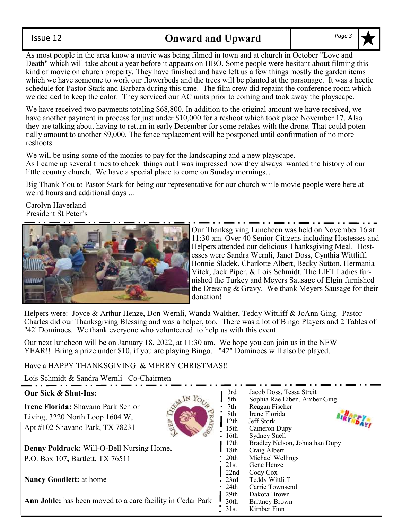## Issue 12

# **Onward and Upward** *Page 3*

As most people in the area know a movie was being filmed in town and at church in October "Love and Death" which will take about a year before it appears on HBO. Some people were hesitant about filming this kind of movie on church property. They have finished and have left us a few things mostly the garden items which we have someone to work our flowerbeds and the trees will be planted at the parsonage. It was a hectic schedule for Pastor Stark and Barbara during this time. The film crew did repaint the conference room which we decided to keep the color. They serviced our AC units prior to coming and took away the playscape.

We have received two payments totaling \$68,800. In addition to the original amount we have received, we have another payment in process for just under \$10,000 for a reshoot which took place November 17. Also they are talking about having to return in early December for some retakes with the drone. That could potentially amount to another \$9,000. The fence replacement will be postponed until confirmation of no more reshoots.

We will be using some of the monies to pay for the landscaping and a new playscape.

As I came up several times to check things out I was impressed how they always wanted the history of our little country church. We have a special place to come on Sunday mornings…

Big Thank You to Pastor Stark for being our representative for our church while movie people were here at weird hours and additional days ...

Carolyn Haverland President St Peter's



Our Thanksgiving Luncheon was held on November 16 at 11:30 am. Over 40 Senior Citizens including Hostesses and Helpers attended our delicious Thanksgiving Meal. Hostesses were Sandra Wernli, Janet Doss, Cynthia Wittliff, Bonnie Sladek, Charlotte Albert, Becky Sutton, Hermania Vitek, Jack Piper, & Lois Schmidt. The LIFT Ladies furnished the Turkey and Meyers Sausage of Elgin furnished the Dressing & Gravy. We thank Meyers Sausage for their donation!

Helpers were: Joyce & Arthur Henze, Don Wernli, Wanda Walther, Teddy Wittliff & JoAnn Ging. Pastor Charles did our Thanksgiving Blessing and was a helper, too. There was a lot of Bingo Players and 2 Tables of "42' Dominoes. We thank everyone who volunteered to help us with this event.

Our next luncheon will be on January 18, 2022, at 11:30 am. We hope you can join us in the NEW YEAR!! Bring a prize under \$10, if you are playing Bingo. "42" Dominoes will also be played.

Have a HAPPY THANKSGIVING & MERRY CHRISTMAS!!

Lois Schmidt & Sandra Wernli Co-Chairmen

# **Our Sick & Shut-Ins:**

**Irene Florida:** Shavano Park Senior Living, 3220 North Loop 1604 W, Apt #102 Shavano Park, TX 78231



**Denny Poldrack:** Will-O-Bell Nursing Home**,**  P.O. Box 107**,** Bartlett, TX 76511

**Nancy Goodlett:** at home

**Ann Johle:** has been moved to a care facility in Cedar Park

3rd Jacob Doss, Tessa Streit 5th Sophia Rae Eiben, Amber Ging 7th Reagan Fischer BIRTHDAY! 8th Irene Florida 12th Jeff Stork 15th Cameron Dupy 16th Sydney Snell 17th Bradley Nelson, Johnathan Dupy 18th Craig Albert 20th Michael Wellings 21st Gene Henze 22nd Cody Cox 23rd Teddy Wittliff 24th Carrie Townsend<br>29th Dakota Brown 29th Dakota Brown<br>30th Brittney Brown **Brittney Brown** 31st Kimber Finn

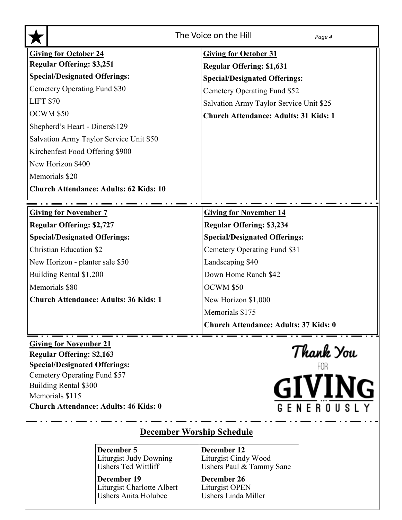| The Voice on the Hill<br>Page 4                                                                                                                                                                                                       |                                                  |  |  |  |  |
|---------------------------------------------------------------------------------------------------------------------------------------------------------------------------------------------------------------------------------------|--------------------------------------------------|--|--|--|--|
| <b>Giving for October 24</b>                                                                                                                                                                                                          | <b>Giving for October 31</b>                     |  |  |  |  |
| <b>Regular Offering: \$3,251</b>                                                                                                                                                                                                      | <b>Regular Offering: \$1,631</b>                 |  |  |  |  |
| <b>Special/Designated Offerings:</b>                                                                                                                                                                                                  | <b>Special/Designated Offerings:</b>             |  |  |  |  |
| Cemetery Operating Fund \$30                                                                                                                                                                                                          | Cemetery Operating Fund \$52                     |  |  |  |  |
| <b>LIFT \$70</b>                                                                                                                                                                                                                      | Salvation Army Taylor Service Unit \$25          |  |  |  |  |
| OCWM \$50                                                                                                                                                                                                                             | <b>Church Attendance: Adults: 31 Kids: 1</b>     |  |  |  |  |
| Shepherd's Heart - Diners\$129                                                                                                                                                                                                        |                                                  |  |  |  |  |
| Salvation Army Taylor Service Unit \$50                                                                                                                                                                                               |                                                  |  |  |  |  |
| Kirchenfest Food Offering \$900                                                                                                                                                                                                       |                                                  |  |  |  |  |
| New Horizon \$400                                                                                                                                                                                                                     |                                                  |  |  |  |  |
| Memorials \$20                                                                                                                                                                                                                        |                                                  |  |  |  |  |
| <b>Church Attendance: Adults: 62 Kids: 10</b>                                                                                                                                                                                         |                                                  |  |  |  |  |
|                                                                                                                                                                                                                                       |                                                  |  |  |  |  |
| <b>Giving for November 7</b>                                                                                                                                                                                                          | <b>Giving for November 14</b>                    |  |  |  |  |
| <b>Regular Offering: \$2,727</b>                                                                                                                                                                                                      | <b>Regular Offering: \$3,234</b>                 |  |  |  |  |
| <b>Special/Designated Offerings:</b>                                                                                                                                                                                                  | <b>Special/Designated Offerings:</b>             |  |  |  |  |
| <b>Christian Education \$2</b>                                                                                                                                                                                                        | Cemetery Operating Fund \$31                     |  |  |  |  |
| New Horizon - planter sale \$50                                                                                                                                                                                                       | Landscaping \$40                                 |  |  |  |  |
| Building Rental \$1,200                                                                                                                                                                                                               | Down Home Ranch \$42                             |  |  |  |  |
| Memorials \$80                                                                                                                                                                                                                        | OCWM \$50                                        |  |  |  |  |
| <b>Church Attendance: Adults: 36 Kids: 1</b>                                                                                                                                                                                          | New Horizon \$1,000                              |  |  |  |  |
|                                                                                                                                                                                                                                       | Memorials \$175                                  |  |  |  |  |
|                                                                                                                                                                                                                                       | <b>Church Attendance: Adults: 37 Kids: 0</b>     |  |  |  |  |
| <b>Giving for November 21</b><br><b>Regular Offering: \$2,163</b><br><b>Special/Designated Offerings:</b><br>Cemetery Operating Fund \$57<br>Building Rental \$300<br>Memorials \$115<br><b>Church Attendance: Adults: 46 Kids: 0</b> | Thank You<br><b>GIVING</b><br><b>GENEROUSLY</b>  |  |  |  |  |
| <b>December Worship Schedule</b>                                                                                                                                                                                                      |                                                  |  |  |  |  |
| December 5                                                                                                                                                                                                                            | December 12                                      |  |  |  |  |
| <b>Liturgist Judy Downing</b><br><b>Ushers Ted Wittliff</b>                                                                                                                                                                           | Liturgist Cindy Wood<br>Ushers Paul & Tammy Sane |  |  |  |  |

**December 19** Liturgist Charlotte Albert Ushers Anita Holubec

**December 26** Liturgist OPEN Ushers Linda Miller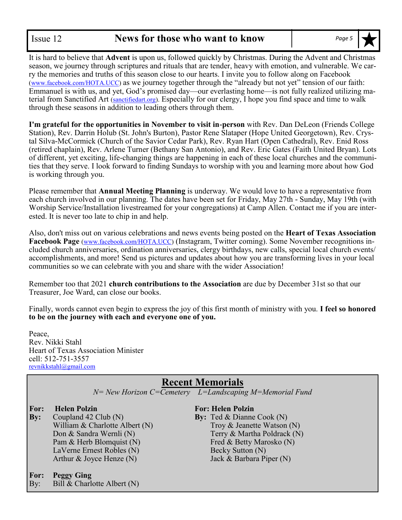It is hard to believe that **Advent** is upon us, followed quickly by Christmas. During the Advent and Christmas season, we journey through scriptures and rituals that are tender, heavy with emotion, and vulnerable. We carry the memories and truths of this season close to our hearts. I invite you to follow along on Facebook (www.facebook.com/HOTA.UCC) as we journey together through the "already but not yet" tension of our faith: Emmanuel is with us, and yet, God's promised day—our everlasting home—is not fully realized utilizing material from Sanctified Art (sanctifiedart.org). Especially for our clergy, I hope you find space and time to walk through these seasons in addition to leading others through them.

**I'm grateful for the opportunities in November to visit in-person** with Rev. Dan DeLeon (Friends College Station), Rev. Darrin Holub (St. John's Burton), Pastor Rene Slataper (Hope United Georgetown), Rev. Crystal Silva-McCormick (Church of the Savior Cedar Park), Rev. Ryan Hart (Open Cathedral), Rev. Enid Ross (retired chaplain), Rev. Arlene Turner (Bethany San Antonio), and Rev. Eric Gates (Faith United Bryan). Lots of different, yet exciting, life-changing things are happening in each of these local churches and the communities that they serve. I look forward to finding Sundays to worship with you and learning more about how God is working through you.

Please remember that **Annual Meeting Planning** is underway. We would love to have a representative from each church involved in our planning. The dates have been set for Friday, May 27th - Sunday, May 19th (with Worship Service/Installation livestreamed for your congregations) at Camp Allen. Contact me if you are interested. It is never too late to chip in and help.

Also, don't miss out on various celebrations and news events being posted on the **Heart of Texas Association Facebook Page** (www.facebook.com/HOTA.UCC) (Instagram, Twitter coming). Some November recognitions included church anniversaries, ordination anniversaries, clergy birthdays, new calls, special local church events/ accomplishments, and more! Send us pictures and updates about how you are transforming lives in your local communities so we can celebrate with you and share with the wider Association!

Remember too that 2021 **church contributions to the Association** are due by December 31st so that our Treasurer, Joe Ward, can close our books.

Finally, words cannot even begin to express the joy of this first month of ministry with you. **I feel so honored to be on the journey with each and everyone one of you.**

Peace, Rev. Nikki Stahl Heart of Texas Association Minister cell: 512-751-3557 revnikkstahl@gmail.com

# **Recent Memorials**

*N= New Horizon C=Cemetery L=Landscaping M=Memorial Fund*

**For: Helen Polzin For: Helen Polzin**

**By:** Coupland 42 Club (N) **By:** Ted & Dianne Cook (N) Pam & Herb Blomquist (N) Fred & Betty Marosko (N) LaVerne Ernest Robles (N) Becky Sutton (N) Arthur & Joyce Henze (N) Jack & Barbara Piper (N)

**For: Peggy Ging**

By: Bill & Charlotte Albert (N)

William & Charlotte Albert (N)  $\qquad \qquad \text{Troy} \& \text{Jeanette Watson (N)}$ Don & Sandra Wernli (N) Terry & Martha Poldrack (N)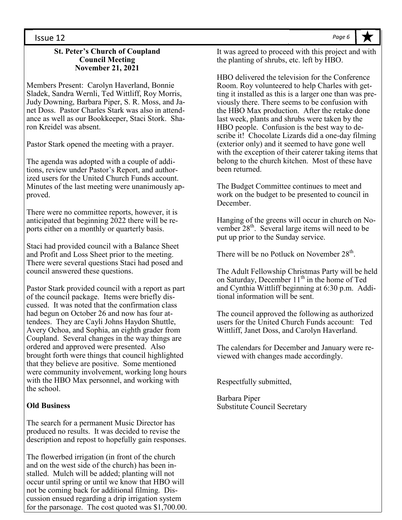#### Issue 12

#### **St. Peter's Church of Coupland Council Meeting November 21, 2021**

Members Present: Carolyn Haverland, Bonnie Sladek, Sandra Wernli, Ted Wittliff, Roy Morris, Judy Downing, Barbara Piper, S. R. Moss, and Janet Doss. Pastor Charles Stark was also in attendance as well as our Bookkeeper, Staci Stork. Sharon Kreidel was absent.

Pastor Stark opened the meeting with a prayer.

The agenda was adopted with a couple of additions, review under Pastor's Report, and authorized users for the United Church Funds account. Minutes of the last meeting were unanimously approved.

There were no committee reports, however, it is anticipated that beginning 2022 there will be reports either on a monthly or quarterly basis.

Staci had provided council with a Balance Sheet and Profit and Loss Sheet prior to the meeting. There were several questions Staci had posed and council answered these questions.

Pastor Stark provided council with a report as part of the council package. Items were briefly discussed. It was noted that the confirmation class had begun on October 26 and now has four attendees. They are Cayli Johns Haydon Shuttle, Avery Ochoa, and Sophia, an eighth grader from Coupland. Several changes in the way things are ordered and approved were presented. Also brought forth were things that council highlighted that they believe are positive. Some mentioned were community involvement, working long hours with the HBO Max personnel, and working with the school.

#### **Old Business**

The search for a permanent Music Director has produced no results. It was decided to revise the description and repost to hopefully gain responses.

The flowerbed irrigation (in front of the church and on the west side of the church) has been installed. Mulch will be added; planting will not occur until spring or until we know that HBO will not be coming back for additional filming. Discussion ensued regarding a drip irrigation system for the parsonage. The cost quoted was \$1,700.00. It was agreed to proceed with this project and with the planting of shrubs, etc. left by HBO.

HBO delivered the television for the Conference Room. Roy volunteered to help Charles with getting it installed as this is a larger one than was previously there. There seems to be confusion with the HBO Max production. After the retake done last week, plants and shrubs were taken by the HBO people. Confusion is the best way to describe it! Chocolate Lizards did a one-day filming (exterior only) and it seemed to have gone well with the exception of their caterer taking items that belong to the church kitchen. Most of these have been returned.

The Budget Committee continues to meet and work on the budget to be presented to council in December.

Hanging of the greens will occur in church on November 28<sup>th</sup>. Several large items will need to be put up prior to the Sunday service.

There will be no Potluck on November  $28<sup>th</sup>$ .

The Adult Fellowship Christmas Party will be held on Saturday, December 11<sup>th</sup> in the home of Ted and Cynthia Wittliff beginning at 6:30 p.m. Additional information will be sent.

The council approved the following as authorized users for the United Church Funds account: Ted Wittliff, Janet Doss, and Carolyn Haverland.

The calendars for December and January were reviewed with changes made accordingly.

Respectfully submitted,

Barbara Piper Substitute Council Secretary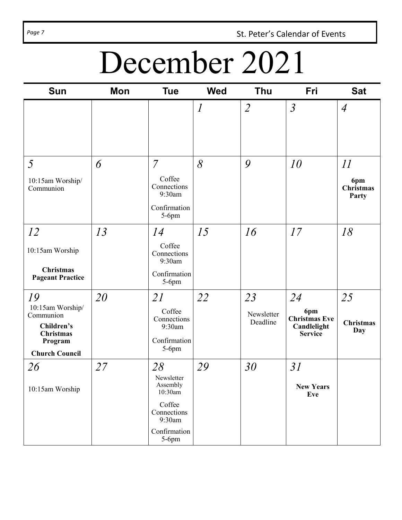Page 7 **St. Peter's Calendar of Events** 

# December 2021

| <b>Sun</b>                                                                                                | <b>Mon</b> | <b>Tue</b>                                                                                             | <b>Wed</b>                  | Thu                          | Fri                                                                | <b>Sat</b>                      |
|-----------------------------------------------------------------------------------------------------------|------------|--------------------------------------------------------------------------------------------------------|-----------------------------|------------------------------|--------------------------------------------------------------------|---------------------------------|
|                                                                                                           |            |                                                                                                        | $\mathcal{I}_{\mathcal{I}}$ | $\overline{2}$               | $\mathfrak{Z}$                                                     | $\overline{A}$                  |
| 5<br>10:15am Worship/<br>Communion                                                                        | 6          | $\overline{7}$<br>Coffee<br>Connections<br>9:30am<br>Confirmation<br>$5-6$ pm                          | 8                           | 9                            | 10                                                                 | 11<br>6pm<br>Christmas<br>Party |
| 12<br>10:15am Worship<br><b>Christmas</b><br><b>Pageant Practice</b>                                      | 13         | 14<br>Coffee<br>Connections<br>9:30am<br>Confirmation<br>$5-6$ pm                                      | 15                          | 16                           | 17                                                                 | 18                              |
| 19<br>10:15am Worship/<br>Communion<br>Children's<br><b>Christmas</b><br>Program<br><b>Church Council</b> | 20         | 21<br>Coffee<br>Connections<br>9:30am<br>Confirmation<br>5-6pm                                         | 22                          | 23<br>Newsletter<br>Deadline | 24<br>6pm<br><b>Christmas Eve</b><br>Candlelight<br><b>Service</b> | 25<br><b>Christmas</b><br>Day   |
| 26<br>10:15am Worship                                                                                     | 27         | 28<br>Newsletter<br>Assembly<br>10:30am<br>Coffee<br>Connections<br>9:30am<br>Confirmation<br>$5-6$ pm | 29                          | 30                           | 31<br><b>New Years</b><br>Eve                                      |                                 |